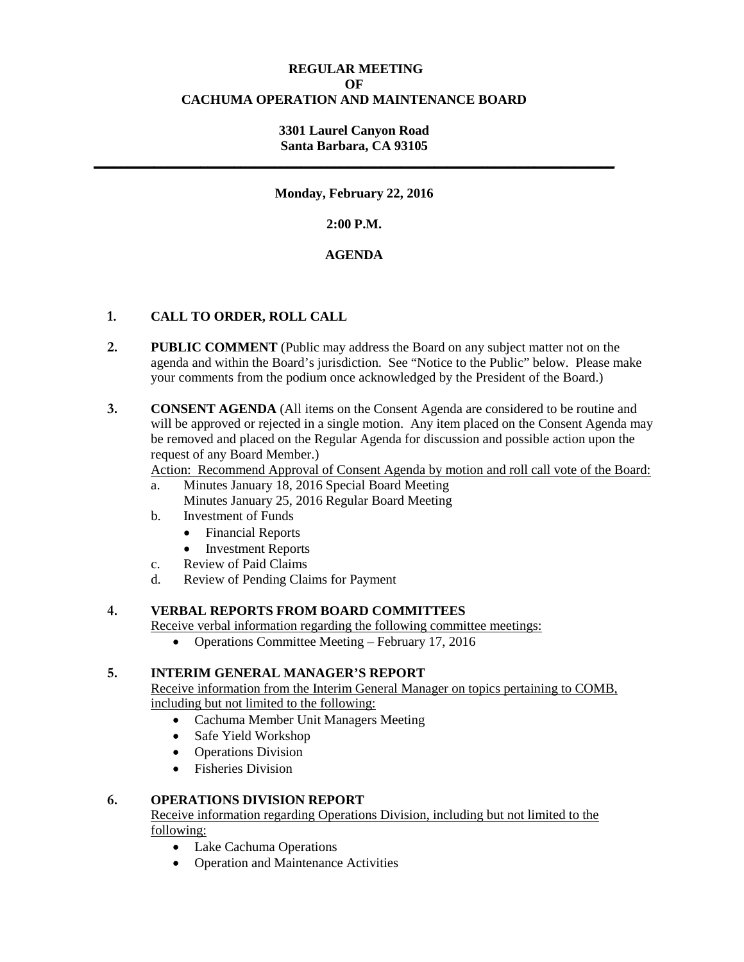# **REGULAR MEETING OF CACHUMA OPERATION AND MAINTENANCE BOARD**

# **3301 Laurel Canyon Road Santa Barbara, CA 93105**

**\_\_\_\_\_\_\_\_\_\_\_\_\_\_\_\_\_\_\_\_\_\_\_\_\_\_\_\_\_\_\_\_\_\_\_\_\_\_\_\_\_\_\_\_\_\_\_\_\_\_\_\_\_\_\_\_\_\_\_\_\_\_\_\_\_\_\_\_\_\_\_\_\_\_\_\_\_\_**

# **Monday, February 22, 2016**

# **2:00 P.M.**

# **AGENDA**

# **1. CALL TO ORDER, ROLL CALL**

- **2. PUBLIC COMMENT** (Public may address the Board on any subject matter not on the agenda and within the Board's jurisdiction. See "Notice to the Public" below. Please make your comments from the podium once acknowledged by the President of the Board.)
- **3. CONSENT AGENDA** (All items on the Consent Agenda are considered to be routine and will be approved or rejected in a single motion. Any item placed on the Consent Agenda may be removed and placed on the Regular Agenda for discussion and possible action upon the request of any Board Member.)

Action: Recommend Approval of Consent Agenda by motion and roll call vote of the Board:

- a. Minutes January 18, 2016 Special Board Meeting Minutes January 25, 2016 Regular Board Meeting
- b. Investment of Funds
	- Financial Reports
	- **Investment Reports**
- c. Review of Paid Claims
- d. Review of Pending Claims for Payment

# **4. VERBAL REPORTS FROM BOARD COMMITTEES**

Receive verbal information regarding the following committee meetings:

• Operations Committee Meeting – February 17, 2016

## **5. INTERIM GENERAL MANAGER'S REPORT**

Receive information from the Interim General Manager on topics pertaining to COMB, including but not limited to the following:

- Cachuma Member Unit Managers Meeting
- Safe Yield Workshop
- Operations Division
- Fisheries Division

# **6. OPERATIONS DIVISION REPORT**

Receive information regarding Operations Division, including but not limited to the following:

- Lake Cachuma Operations
- Operation and Maintenance Activities